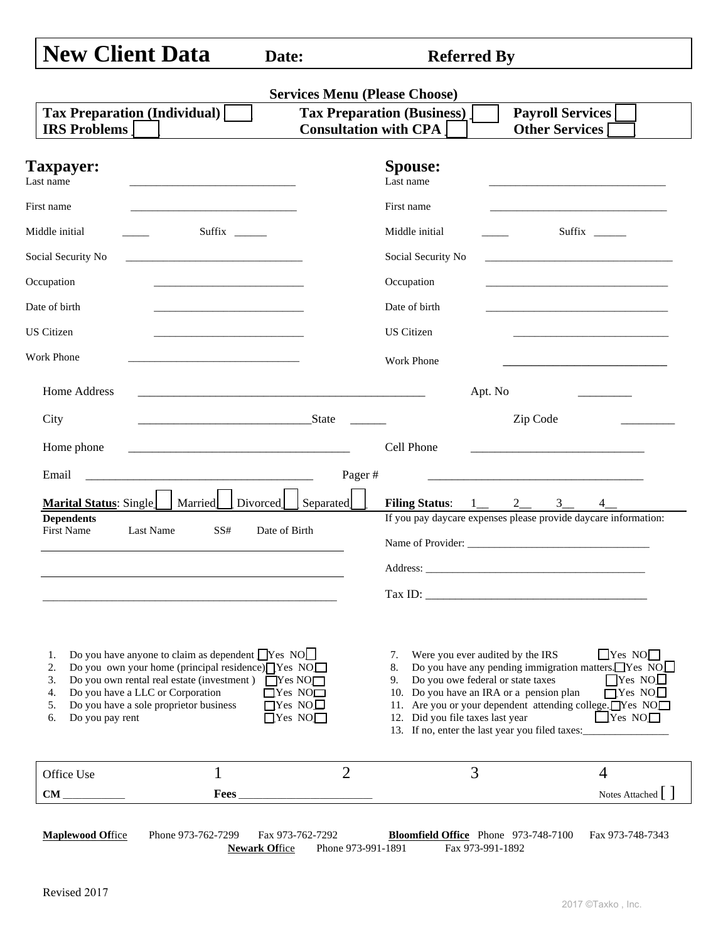| <b>New Client Data</b> |  |
|------------------------|--|
|                        |  |

**Referred By** 

| <b>Tax Preparation (Individual)</b><br><b>IRS Problems</b>                                                                                                                                                                                                                                                                               | <b>Consultation with CPA</b>                                                    | <b>Tax Preparation (Business)</b>                                                                                                                                                                                    | <b>Payroll Services</b><br><b>Other Services</b>                                                                                                                                                                               |
|------------------------------------------------------------------------------------------------------------------------------------------------------------------------------------------------------------------------------------------------------------------------------------------------------------------------------------------|---------------------------------------------------------------------------------|----------------------------------------------------------------------------------------------------------------------------------------------------------------------------------------------------------------------|--------------------------------------------------------------------------------------------------------------------------------------------------------------------------------------------------------------------------------|
| <b>Taxpayer:</b><br>Last name<br>the control of the control of the control of the control of the control of                                                                                                                                                                                                                              |                                                                                 | <b>Spouse:</b><br>Last name                                                                                                                                                                                          |                                                                                                                                                                                                                                |
| First name<br><u> 1989 - Johann John Stone, market fan it ferstjer fan it ferstjer fan it ferstjer fan it ferstjer fan it fers</u>                                                                                                                                                                                                       |                                                                                 | First name                                                                                                                                                                                                           | <u> 1980 - Johann John Stone, markin film yn y brening yn y brening yn y brening yn y brening yn y brening yn y b</u>                                                                                                          |
| Middle initial<br>Suffix ______                                                                                                                                                                                                                                                                                                          |                                                                                 | Middle initial                                                                                                                                                                                                       |                                                                                                                                                                                                                                |
| Social Security No<br>the control of the control of the control of the control of the control of                                                                                                                                                                                                                                         |                                                                                 | Social Security No                                                                                                                                                                                                   | the control of the control of the control of the control of the control of                                                                                                                                                     |
| Occupation                                                                                                                                                                                                                                                                                                                               |                                                                                 | Occupation                                                                                                                                                                                                           | the control of the control of the control of the control of the control of                                                                                                                                                     |
| Date of birth<br>the control of the control of the control of the control of the control of                                                                                                                                                                                                                                              |                                                                                 | Date of birth                                                                                                                                                                                                        |                                                                                                                                                                                                                                |
| <b>US</b> Citizen                                                                                                                                                                                                                                                                                                                        |                                                                                 | <b>US</b> Citizen                                                                                                                                                                                                    |                                                                                                                                                                                                                                |
| Work Phone<br>the control of the control of the control of the control of the control of                                                                                                                                                                                                                                                 |                                                                                 | <b>Work Phone</b>                                                                                                                                                                                                    |                                                                                                                                                                                                                                |
| Home Address                                                                                                                                                                                                                                                                                                                             |                                                                                 | Apt. No                                                                                                                                                                                                              |                                                                                                                                                                                                                                |
| City                                                                                                                                                                                                                                                                                                                                     | State State                                                                     |                                                                                                                                                                                                                      | Zip Code                                                                                                                                                                                                                       |
|                                                                                                                                                                                                                                                                                                                                          |                                                                                 |                                                                                                                                                                                                                      |                                                                                                                                                                                                                                |
|                                                                                                                                                                                                                                                                                                                                          |                                                                                 | Cell Phone                                                                                                                                                                                                           |                                                                                                                                                                                                                                |
| Home phone                                                                                                                                                                                                                                                                                                                               |                                                                                 |                                                                                                                                                                                                                      |                                                                                                                                                                                                                                |
| Email                                                                                                                                                                                                                                                                                                                                    | Pager#                                                                          |                                                                                                                                                                                                                      |                                                                                                                                                                                                                                |
| Marital Status: Single <a>[</a> Marriedcd Divorced                                                                                                                                                                                                                                                                                       | Separated                                                                       | Filing Status: $1 \_ 2 \_ 3 \_$                                                                                                                                                                                      | $4$ <sub>—</sub>                                                                                                                                                                                                               |
| <b>Dependents</b><br>Last Name<br>First Name<br>SS#                                                                                                                                                                                                                                                                                      | Date of Birth                                                                   |                                                                                                                                                                                                                      | If you pay daycare expenses please provide daycare information:                                                                                                                                                                |
|                                                                                                                                                                                                                                                                                                                                          |                                                                                 |                                                                                                                                                                                                                      |                                                                                                                                                                                                                                |
|                                                                                                                                                                                                                                                                                                                                          |                                                                                 |                                                                                                                                                                                                                      | Address: No. 1996. The Second State of the Second State of the Second State of the Second State of the Second State of the Second State of the Second State of the Second State of the Second State of the Second State of the |
|                                                                                                                                                                                                                                                                                                                                          |                                                                                 |                                                                                                                                                                                                                      |                                                                                                                                                                                                                                |
| Do you have anyone to claim as dependent $\Box$ Yes NO $\Box$<br>1.<br>Do you own your home (principal residence) $\Box$ Yes NO $\Box$<br>2.<br>Do you own rental real estate (investment) $\Box$ Yes NO $\Box$<br>3.<br>Do you have a LLC or Corporation<br>4.<br>Do you have a sole proprietor business<br>5.<br>Do you pay rent<br>6. | $\overline{\Box}$ Yes NO $\Box$<br>$\Box$ Yes NO $\Box$<br>$\Box$ Yes NO $\Box$ | 7. Were you ever audited by the IRS<br>8.<br>9. Do you owe federal or state taxes<br>10. Do you have an IRA or a pension plan<br>12. Did you file taxes last year<br>13. If no, enter the last year you filed taxes: | $\Box$ Yes NO $\Box$<br>$\Box$ Yes NO $\Box$                                                                                                                                                                                   |
| $\mathbf 1$<br>Office Use                                                                                                                                                                                                                                                                                                                | $\overline{2}$                                                                  | 3                                                                                                                                                                                                                    | Do you have any pending immigration matters. $\Box$ Yes $\overline{NO}$<br>$\Box$ Yes NO $\Box$<br>$\Box$ Yes NO $\Box$<br>11. Are you or your dependent attending college. Yes NO<br>$\overline{4}$                           |

**Newark Office** Phone 973-991-1891 Fax 973-991-1892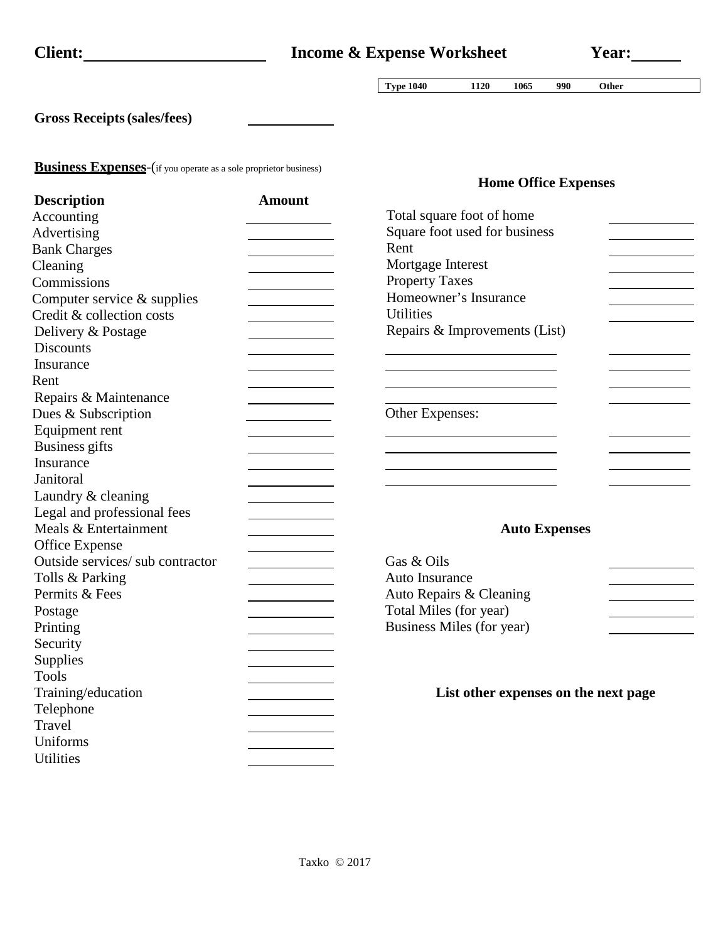| <b>Client:</b> |
|----------------|
|                |

**Type 1040 1120 1065 990 Other**

**Home Office Expenses**

**Gross Receipts(sales/fees)**

**Business Expenses**-(if you operate as a sole proprietor business)

| <b>Description</b>               | <b>Amount</b> |                                      |
|----------------------------------|---------------|--------------------------------------|
| Accounting                       |               | Total square foot of home            |
| Advertising                      |               | Square foot used for business        |
| <b>Bank Charges</b>              |               | Rent                                 |
| Cleaning                         |               | Mortgage Interest                    |
| Commissions                      |               | <b>Property Taxes</b>                |
| Computer service & supplies      |               | Homeowner's Insurance                |
| Credit & collection costs        |               | <b>Utilities</b>                     |
| Delivery & Postage               |               | Repairs & Improvements (List)        |
| <b>Discounts</b>                 |               |                                      |
| Insurance                        |               |                                      |
| Rent                             |               |                                      |
| Repairs & Maintenance            |               |                                      |
| Dues & Subscription              |               | Other Expenses:                      |
| Equipment rent                   |               |                                      |
| <b>Business gifts</b>            |               |                                      |
| Insurance                        |               |                                      |
| Janitoral                        |               |                                      |
| Laundry & cleaning               |               |                                      |
| Legal and professional fees      |               |                                      |
| Meals & Entertainment            |               | <b>Auto Expenses</b>                 |
| Office Expense                   |               |                                      |
| Outside services/ sub contractor |               | Gas & Oils                           |
| Tolls & Parking                  |               | Auto Insurance                       |
| Permits & Fees                   |               | Auto Repairs & Cleaning              |
| Postage                          |               | Total Miles (for year)               |
| Printing                         |               | Business Miles (for year)            |
| Security                         |               |                                      |
| Supplies                         |               |                                      |
| <b>Tools</b>                     |               |                                      |
| Training/education               |               | List other expenses on the next page |
| Telephone                        |               |                                      |
| Travel                           |               |                                      |
| Uniforms                         |               |                                      |
| <b>Utilities</b>                 |               |                                      |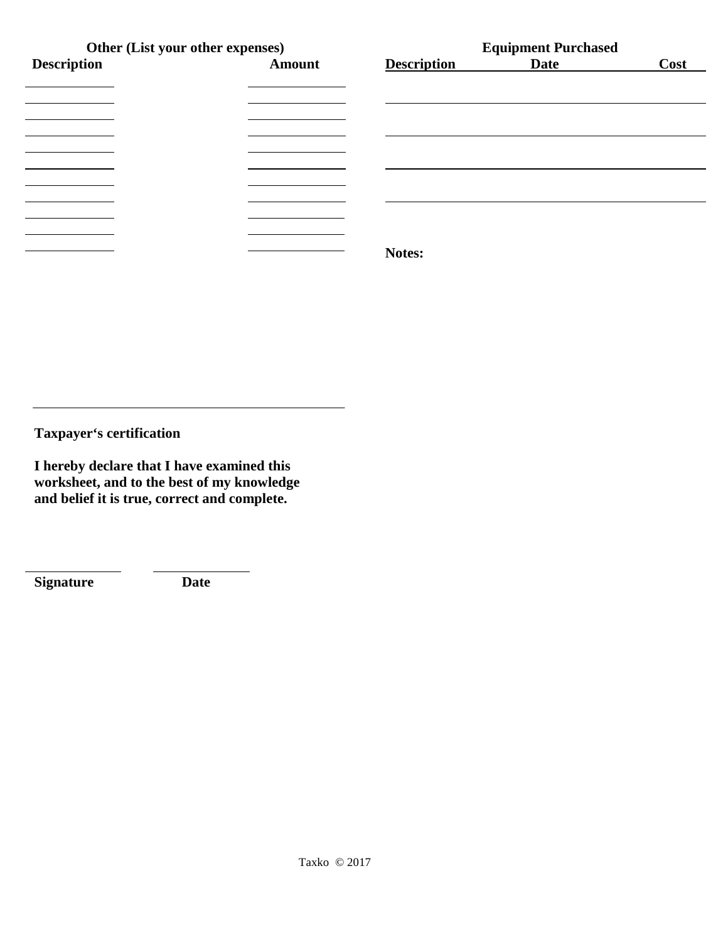|                    | Other (List your other expenses) |                    | <b>Equipment Purchased</b> |      |  |  |
|--------------------|----------------------------------|--------------------|----------------------------|------|--|--|
| <b>Description</b> | <b>Amount</b>                    | <b>Description</b> | <b>Date</b>                | Cost |  |  |
|                    |                                  |                    |                            |      |  |  |
|                    |                                  |                    |                            |      |  |  |
|                    |                                  |                    |                            |      |  |  |
|                    |                                  |                    |                            |      |  |  |
|                    |                                  |                    |                            |      |  |  |
|                    |                                  |                    |                            |      |  |  |
|                    |                                  |                    |                            |      |  |  |
|                    |                                  |                    |                            |      |  |  |
|                    |                                  |                    |                            |      |  |  |
|                    |                                  |                    |                            |      |  |  |
|                    |                                  | Notes:             |                            |      |  |  |

**Taxpayer's certification** 

**I hereby declare that I have examined this worksheet, and to the best of my knowledge and belief it is true, correct and complete.**

**Signature Date**

 $\overline{a}$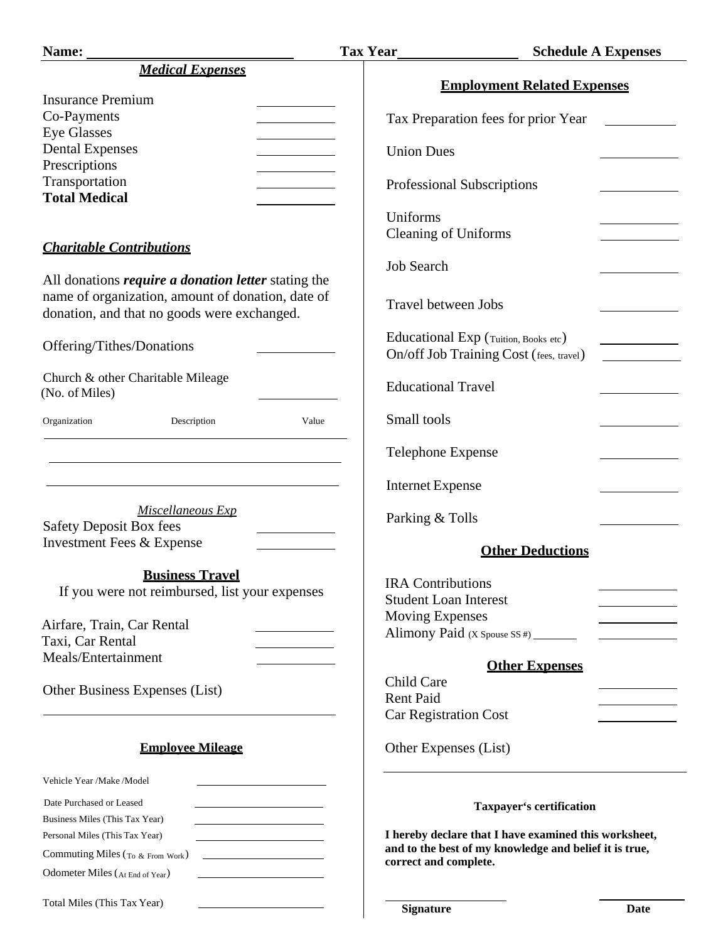| <b>Medical Expenses</b>                                                             | <b>Employment Related Expenses</b>                                                                              |      |
|-------------------------------------------------------------------------------------|-----------------------------------------------------------------------------------------------------------------|------|
|                                                                                     |                                                                                                                 |      |
|                                                                                     |                                                                                                                 |      |
| <b>Insurance Premium</b>                                                            |                                                                                                                 |      |
| Co-Payments                                                                         | Tax Preparation fees for prior Year                                                                             |      |
| <b>Eye Glasses</b>                                                                  |                                                                                                                 |      |
| <b>Dental Expenses</b>                                                              | <b>Union Dues</b>                                                                                               |      |
| Prescriptions                                                                       |                                                                                                                 |      |
| Transportation<br><b>Total Medical</b>                                              | Professional Subscriptions                                                                                      |      |
|                                                                                     |                                                                                                                 |      |
|                                                                                     | Uniforms                                                                                                        |      |
|                                                                                     | <b>Cleaning of Uniforms</b>                                                                                     |      |
| <b>Charitable Contributions</b>                                                     |                                                                                                                 |      |
|                                                                                     | <b>Job Search</b>                                                                                               |      |
| All donations <i>require a donation letter</i> stating the                          |                                                                                                                 |      |
| name of organization, amount of donation, date of                                   | <b>Travel between Jobs</b>                                                                                      |      |
| donation, and that no goods were exchanged.                                         |                                                                                                                 |      |
|                                                                                     | Educational Exp (Tuition, Books etc)                                                                            |      |
| Offering/Tithes/Donations                                                           | On/off Job Training Cost (fees, travel)                                                                         |      |
|                                                                                     |                                                                                                                 |      |
| Church & other Charitable Mileage                                                   | <b>Educational Travel</b>                                                                                       |      |
| (No. of Miles)                                                                      |                                                                                                                 |      |
| Organization<br>Description<br>Value                                                | Small tools                                                                                                     |      |
|                                                                                     |                                                                                                                 |      |
|                                                                                     | Telephone Expense                                                                                               |      |
|                                                                                     |                                                                                                                 |      |
|                                                                                     | <b>Internet Expense</b>                                                                                         |      |
|                                                                                     |                                                                                                                 |      |
| Miscellaneous Exp                                                                   | Parking & Tolls                                                                                                 |      |
| <b>Safety Deposit Box fees</b>                                                      |                                                                                                                 |      |
| <b>Investment Fees &amp; Expense</b>                                                | <b>Other Deductions</b>                                                                                         |      |
|                                                                                     |                                                                                                                 |      |
| <b>Business Travel</b>                                                              | <b>IRA</b> Contributions                                                                                        |      |
| If you were not reimbursed, list your expenses                                      | <b>Student Loan Interest</b>                                                                                    |      |
|                                                                                     | <b>Moving Expenses</b>                                                                                          |      |
| Airfare, Train, Car Rental                                                          | Alimony Paid (X Spouse SS #)                                                                                    |      |
| Taxi, Car Rental                                                                    |                                                                                                                 |      |
| Meals/Entertainment                                                                 | <b>Other Expenses</b>                                                                                           |      |
|                                                                                     | Child Care                                                                                                      |      |
| Other Business Expenses (List)                                                      | <b>Rent Paid</b>                                                                                                |      |
|                                                                                     | <b>Car Registration Cost</b>                                                                                    |      |
|                                                                                     |                                                                                                                 |      |
| <b>Employee Mileage</b>                                                             | Other Expenses (List)                                                                                           |      |
|                                                                                     |                                                                                                                 |      |
| Vehicle Year /Make /Model                                                           |                                                                                                                 |      |
|                                                                                     |                                                                                                                 |      |
| Date Purchased or Leased                                                            | Taxpayer's certification                                                                                        |      |
| Business Miles (This Tax Year)<br><u> 1989 - Johann Barnett, fransk politiker (</u> |                                                                                                                 |      |
| Personal Miles (This Tax Year)                                                      | I hereby declare that I have examined this worksheet,<br>and to the best of my knowledge and belief it is true, |      |
| Commuting Miles (To & From Work)<br><u> 1989 - Johann Barbara, martin a</u>         | correct and complete.                                                                                           |      |
| Odometer Miles (At End of Year)<br><u> 1989 - Johann Barbara, martin a</u>          |                                                                                                                 |      |
|                                                                                     |                                                                                                                 |      |
| Total Miles (This Tax Year)                                                         | <b>Signature</b>                                                                                                | Date |